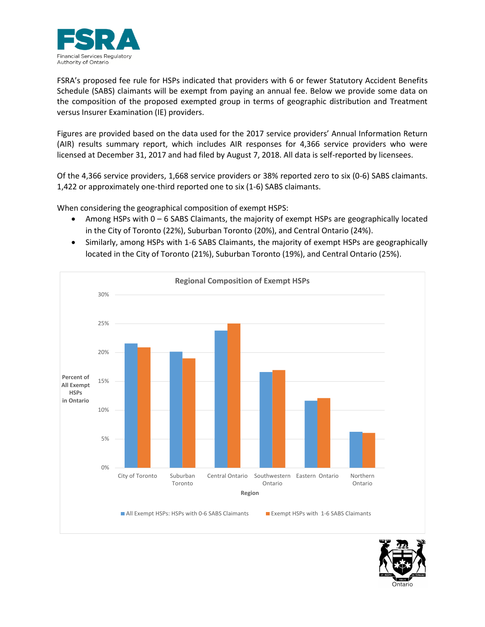

FSRA's proposed fee rule for HSPs indicated that providers with 6 or fewer Statutory Accident Benefits Schedule (SABS) claimants will be exempt from paying an annual fee. Below we provide some data on the composition of the proposed exempted group in terms of geographic distribution and Treatment versus Insurer Examination (IE) providers.

Figures are provided based on the data used for the 2017 service providers' Annual Information Return (AIR) results summary report, which includes AIR responses for 4,366 service providers who were licensed at December 31, 2017 and had filed by August 7, 2018. All data is self-reported by licensees.

Of the 4,366 service providers, 1,668 service providers or 38% reported zero to six (0-6) SABS claimants. 1,422 or approximately one-third reported one to six (1-6) SABS claimants.

When considering the geographical composition of exempt HSPS:

- Among HSPs with 0 6 SABS Claimants, the majority of exempt HSPs are geographically located in the City of Toronto (22%), Suburban Toronto (20%), and Central Ontario (24%).
- Similarly, among HSPs with 1-6 SABS Claimants, the majority of exempt HSPs are geographically located in the City of Toronto (21%), Suburban Toronto (19%), and Central Ontario (25%).



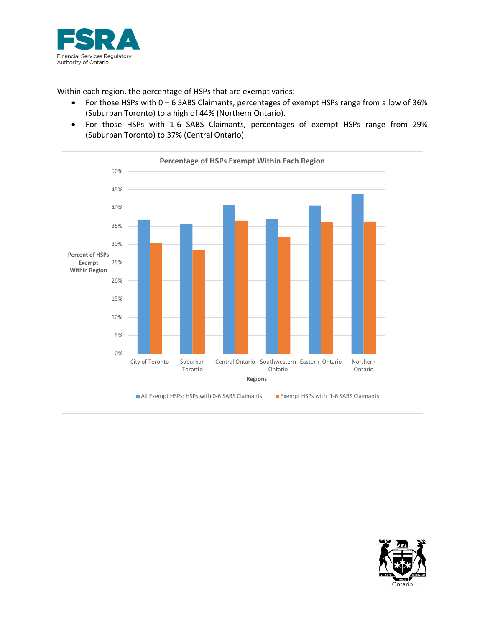

Within each region, the percentage of HSPs that are exempt varies:

- For those HSPs with 0 6 SABS Claimants, percentages of exempt HSPs range from a low of 36% (Suburban Toronto) to a high of 44% (Northern Ontario).
- For those HSPs with 1-6 SABS Claimants, percentages of exempt HSPs range from 29% (Suburban Toronto) to 37% (Central Ontario).